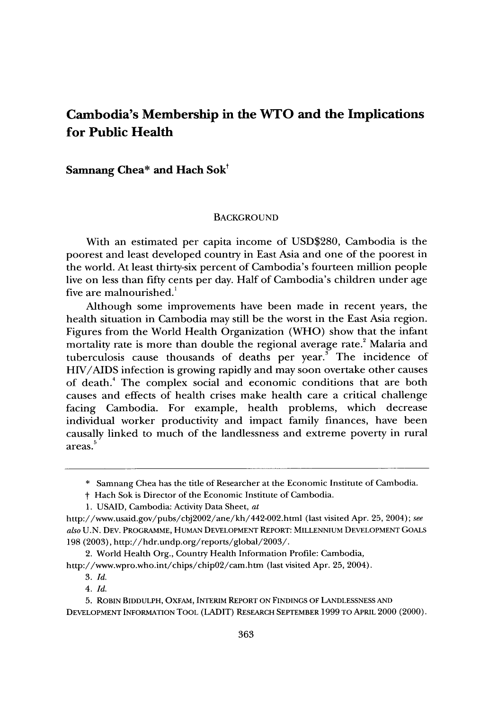# **Cambodia's Membership in the WTO and the Implications for Public Health**

Samnang Chea\* and Hach Sok<sup>t</sup>

#### **BACKGROUND**

With an estimated per capita income of **USD\$280,** Cambodia is the poorest and least developed country in East Asia and one of the poorest in the world. At least thirty-six percent of Cambodia's fourteen million people live on less than fifty cents per day. Half of Cambodia's children under age five are malnourished.'

Although some improvements have been made in recent years, the health situation in Cambodia may still be the worst in the East Asia region. Figures from the World Health Organization (WHO) show that the infant mortality rate is more than double the regional average rate.<sup>2</sup> Malaria and tuberculosis cause thousands of deaths per year.<sup>3</sup> The incidence of HIV/AIDS infection is growing rapidly and may soon overtake other causes of death.4 The complex social and economic conditions that are both causes and effects of health crises make health care a critical challenge facing Cambodia. For example, health problems, which decrease individual worker productivity and impact family finances, have been causally linked to much of the landlessness and extreme poverty in rural **<sup>5</sup>** areas.

**<sup>\*</sup>** Samnang Chea has the title of Researcher at the Economic Institute of Cambodia.

**t** Hach Sok is Director of the Economic Institute of Cambodia.

<sup>1.</sup> USAID, Cambodia: Activity Data Sheet, at

http://www.usaid.gov/pubs/cbj2002/ane/kh/442-002.html (last visited Apr. 25, 2004); see *also* U.N. **DEV.** PROGRAMME, HUMAN DEVELOPMENT REPORT: MILLENNIUM DEVELOPMENT GOALS 198 (2003), http://hdr.undp.org/reports/global/2003/.

<sup>2.</sup> World Health Org., Country Health Information Profile: Cambodia,

http://www.wpro.who.int/chips/chip02/cam.htm (last visited Apr. 25, 2004).

<sup>3.</sup> *Id.*

<sup>4.</sup> *Id.*

<sup>5.</sup> ROBIN BIDDULPH, OXFAM, INTERIM REPORT ON FINDINGS OF LANDLESSNESS AND DEVELOPMENT INFORMATION TOOL (LADIT) RESEARCH SEPTEMBER 1999 TO APRIL 2000 (2000).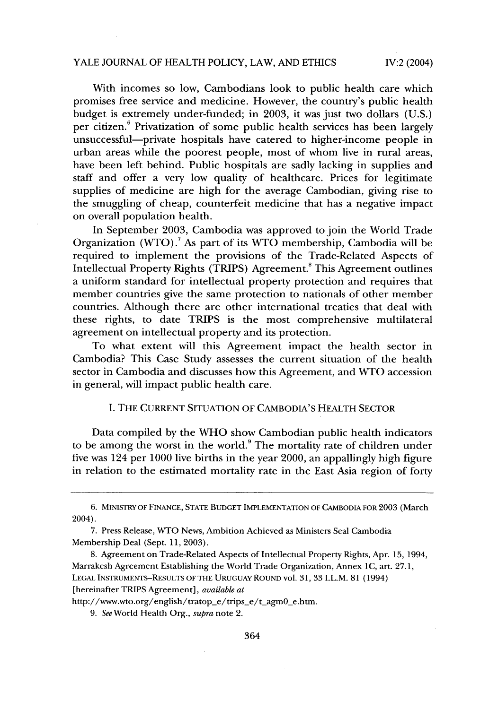## YALE JOURNAL OF HEALTH POLICY, LAW, AND ETHICS

IV:2 (2004)

With incomes so low, Cambodians look to public health care which promises free service and medicine. However, the country's public health budget is extremely under-funded; in 2003, it was just two dollars (U.S.) per citizen.<sup>6</sup> Privatization of some public health services has been largely unsuccessful-private hospitals have catered to higher-income people in urban areas while the poorest people, most of whom live in rural areas, have been left behind. Public hospitals are sadly lacking in supplies and staff and offer a very low quality of healthcare. Prices for legitimate supplies of medicine are high for the average Cambodian, giving rise to the smuggling of cheap, counterfeit medicine that has a negative impact on overall population health.

In September 2003, Cambodia was approved to join the World Trade Organization (WTO).<sup>7</sup> As part of its WTO membership, Cambodia will be required to implement the provisions of the Trade-Related Aspects of Intellectual Property Rights (TRIPS) Agreement." This Agreement outlines a uniform standard for intellectual property protection and requires that member countries give the same protection to nationals of other member countries. Although there are other international treaties that deal with these rights, to date TRIPS is the most comprehensive multilateral agreement on intellectual property and its protection.

To what extent will this Agreement impact the health sector in Cambodia? This Case Study assesses the current situation of the health sector in Cambodia and discusses how this Agreement, and WTO accession in general, will impact public health care.

## I. THE CURRENT SITUATION OF CAMBODIA'S HEALTH SECTOR

Data compiled by the WHO show Cambodian public health indicators to be among the worst in the world.<sup>9</sup> The mortality rate of children under five was 124 per 1000 live births in the year 2000, an appallingly high figure in relation to the estimated mortality rate in the East Asia region of forty

<sup>6.</sup> MINISTRY OF FINANCE, STATE BUDGET IMPLEMENTATION OF CAMBODIA FOR 2003 (March 2004).

<sup>7.</sup> Press Release, WTO News, Ambition Achieved as Ministers Seal Cambodia Membership Deal (Sept. 11, 2003).

<sup>8.</sup> Agreement on Trade-Related Aspects of Intellectual Property Rights, Apr. 15, 1994, Marrakesh Agreement Establishing the World Trade Organization, Annex **I** C, art. 27.1, LEGAL INSTRUMENTS-RESULTS OF THE URUGUAY ROUND vol. 31, 33 I.L.M. 81 (1994) [hereinafter TRIPS Agreement], *available at*

http://www.wto.org/english/tratop\_e/trips\_e/t\_agm0\_e.htm.

*<sup>9.</sup> See* World Health Org., *supra* note 2.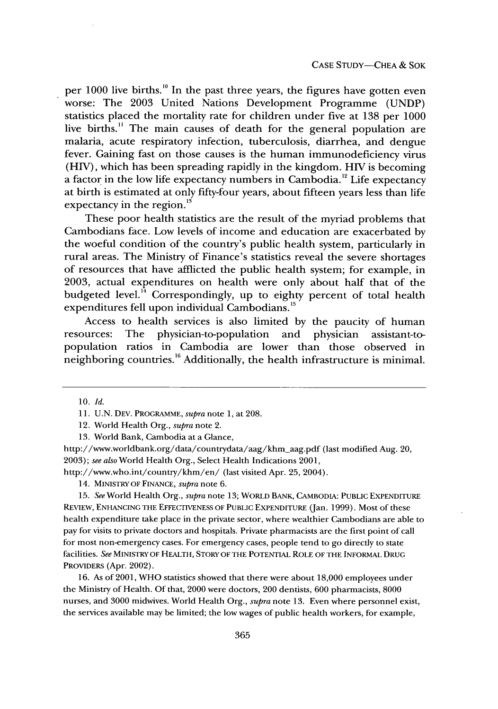per  $1000$  live births.<sup>10</sup> In the past three years, the figures have gotten even worse: The 2003 United Nations Development Programme (UNDP) statistics placed the mortality rate for children under five at 138 per 1000 live births.<sup>11</sup> The main causes of death for the general population are malaria, acute respiratory infection, tuberculosis, diarrhea, and dengue fever. Gaining fast on those causes is the human immunodeficiency virus (HIV), which has been spreading rapidly in the kingdom. HIV is becoming a factor in the low life expectancy numbers in Cambodia.<sup>12</sup> Life expectancy at birth is estimated at only fifty-four years, about fifteen years less than life expectancy in the region. $^{13}$ 

These poor health statistics are the result of the myriad problems that Cambodians face. Low levels of income and education are exacerbated by the woeful condition of the country's public health system, particularly in rural areas. The Ministry of Finance's statistics reveal the severe shortages of resources that have afflicted the public health system; for example, in 2003, actual expenditures on health were only about half that of the budgeted level.<sup>14</sup> Correspondingly, up to eighty percent of total health expenditures fell upon individual Cambodians.<sup>15</sup>

Access to health services is also limited by the paucity of human resources: The physician-to-population and physician assistant-topopulation ratios in Cambodia are lower than those observed in neighboring countries.<sup>16</sup> Additionally, the health infrastructure is minimal.

13. World Bank, Cambodia at a Glance,

http://www.worldbank.org/data/countrydata/aag/khm\_aag.pdf (last modified Aug. 20, 2003); *see also* World Health Org., Select Health Indications 2001,

http://www.who.int/country/khm/en/ (last visited Apr. 25, 2004).

14. MINISTRY **OF FINANCE,** *supra* note 6.

15. *See* World Health Org., *supra* note 13; WORLD BANK, **CAMBODIA:** PUBLIC EXPENDITURE REVIEW, **ENHANCING** THE **EFFECTIVENESS** OF PUBLIC EXPENDITURE (Jan. 1999). Most of these health expenditure take place in the private sector, where wealthier Cambodians are able to pay for visits to private doctors and hospitals. Private pharmacists are the first point of call for most non-emergency cases. For emergency cases, people tend to go directly to state facilities. *See* MINISTRY OF HEALTH, STORY OF THE POTENTIAL ROLE OF THE INFORMAL DRUG PROVIDERS (Apr. 2002).

16. As of 2001, WHO statistics showed that there were about 18,000 employees under the Ministry of Health. Of that, 2000 were doctors, 200 dentists, 600 pharmacists, 8000 nurses, and 3000 midwives. World Health Org., *supra* note 13. Even where personnel exist, the services available may be limited; the low wages of public health workers, for example,

<sup>10.</sup> *Id.*

<sup>11.</sup> U.N. **DEV.** PROGRAMME, *supra* note 1, at 208.

<sup>12.</sup> World Health Org., *supra* note 2.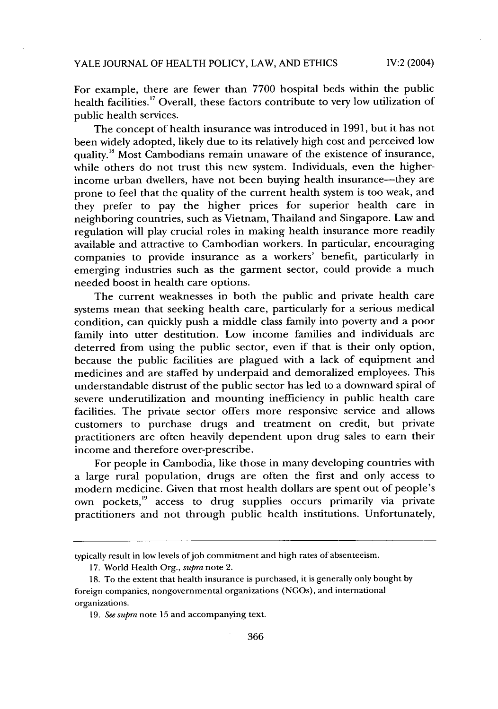For example, there are fewer than 7700 hospital beds within the public health facilities.<sup>17</sup> Overall, these factors contribute to very low utilization of public health services.

The concept of health insurance was introduced in 1991, but it has not been widely adopted, likely due to its relatively high cost and perceived low quality.<sup>18</sup> Most Cambodians remain unaware of the existence of insurance, while others do not trust this new system. Individuals, even the higherincome urban dwellers, have not been buying health insurance-they are prone to feel that the quality of the current health system is too weak, and they prefer to pay the higher prices for superior health care in neighboring countries, such as Vietnam, Thailand and Singapore. Law and regulation will play crucial roles in making health insurance more readily available and attractive to Cambodian workers. In particular, encouraging companies to provide insurance as a workers' benefit, particularly in emerging industries such as the garment sector, could provide a much needed boost in health care options.

The current weaknesses in both the public and private health care systems mean that seeking health care, particularly for a serious medical condition, can quickly push a middle class family into poverty and a poor family into utter destitution. Low income families and individuals are deterred from using the public sector, even if that is their only option, because the public facilities are plagued with a lack of equipment and medicines and are staffed by underpaid and demoralized employees. This understandable distrust of the public sector has led to a downward spiral of severe underutilization and mounting inefficiency in public health care facilities. The private sector offers more responsive service and allows customers to purchase drugs and treatment on credit, but private practitioners are often heavily dependent upon drug sales to earn their income and therefore over-prescribe.

For people in Cambodia, like those in many developing countries with a large rural population, drugs are often the first and only access to modern medicine. Given that most health dollars are spent out of people's own pockets,<sup>19</sup> access to drug supplies occurs primarily via private practitioners and not through public health institutions. Unfortunately,

typically result in low levels of job commitment and high rates of absenteeism.

<sup>17.</sup> World Health Org., *supra* note 2.

<sup>18.</sup> To the extent that health insurance is purchased, it is generally only bought by foreign companies, nongovernmental organizations (NGOs), and international organizations.

<sup>19.</sup> *See supra* note 15 and accompanying text.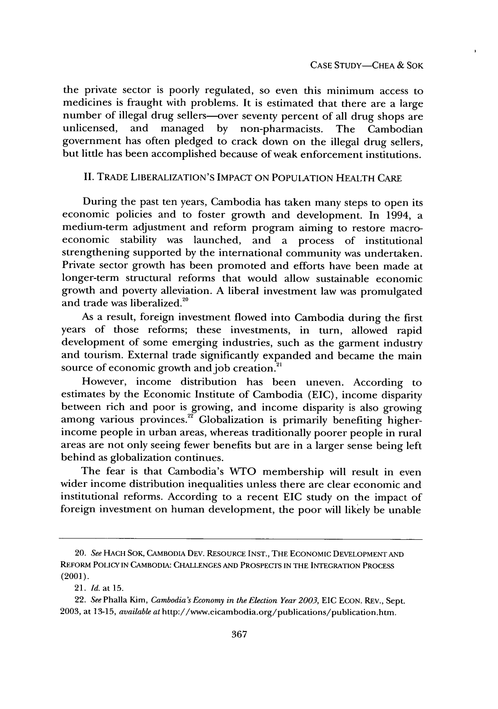the private sector is poorly regulated, so even this minimum access to medicines is fraught with problems. It is estimated that there are a large number of illegal drug sellers---over seventy percent of all drug shops are unlicensed, and managed by non-pharmacists. The Cambodian unlicensed, and managed by non-pharmacists. The Cambodian government has often pledged to crack down on the illegal drug sellers, but little has been accomplished because of weak enforcement institutions.

## II. TRADE LIBERALIZATION'S IMPACT ON POPULATION HEALTH CARE

During the past ten years, Cambodia has taken many steps to open its economic policies and to foster growth and development. In 1994, a medium-term adjustment and reform program aiming to restore macroeconomic stability was launched, and a process of institutional strengthening supported by the international community was undertaken. Private sector growth has been promoted and efforts have been made at longer-term structural reforms that would allow sustainable economic growth and poverty alleviation. A liberal investment law was promulgated and trade was liberalized.<sup>20</sup>

As a result, foreign investment flowed into Cambodia during the first years of those reforms; these investments, in turn, allowed rapid development of some emerging industries, such as the garment industry and tourism. External trade significantly expanded and became the main source of economic growth and job creation.<sup>21</sup>

However, income distribution has been uneven. According to estimates by the Economic Institute of Cambodia (EIC), income disparity between rich and poor is growing, and income disparity is also growing among various provinces.<sup>22</sup> Globalization is primarily benefiting higherincome people in urban areas, whereas traditionally poorer people in rural areas are not only seeing fewer benefits but are in a larger sense being left behind as globalization continues.

The fear is that Cambodia's WTO membership will result in even wider income distribution inequalities unless there are clear economic and institutional reforms. According to a recent EIC study on the impact of foreign investment on human development, the poor will likely be unable

<sup>20.</sup> *See* HACH SOK, CAMBODIA DEv. RESOURCE INST., THE ECONOMIC DEVELOPMENT **AND** REFORM POLICY IN CAMBODIA: CHALLENGES AND PROSPECTS IN THE INTEGRATION PROCESS (2001).

<sup>21.</sup> *Id.* at 15.

<sup>22.</sup> *See* Phalla Kim, *Cambodia's Economy in the Election Year 2003,* EIC ECON. REV., Sept. 2003, at 13-15, *available at* http://www.eicambodia.org/publications/publication.htm.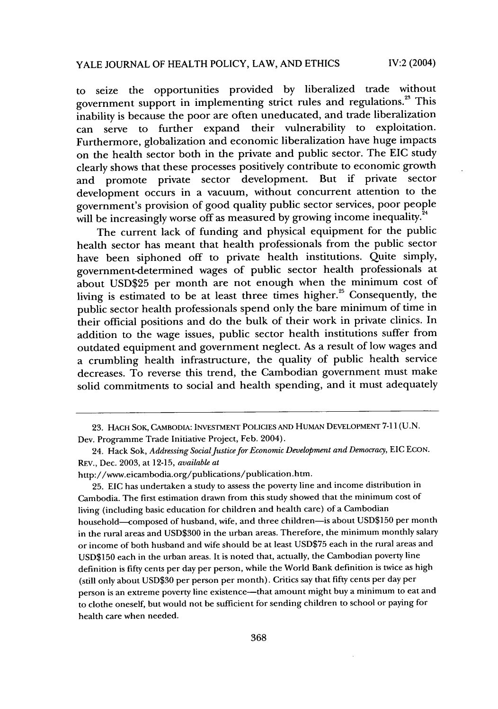to seize the opportunities provided by liberalized trade without government support in implementing strict rules and regulations.<sup>23</sup> This inability is because the poor are often uneducated, and trade liberalization can serve to further expand their vulnerability to exploitation. Furthermore, globalization and economic liberalization have huge impacts on the health sector both in the private and public sector. The EIC study clearly shows that these processes positively contribute to economic growth and promote private sector development. But if private sector development occurs in a vacuum, without concurrent attention to the government's provision of good quality public sector services, poor people will be increasingly worse off as measured by growing income inequality. $^2$ 

The current lack of funding and physical equipment for the public health sector has meant that health professionals from the public sector have been siphoned off to private health institutions. Quite simply, government-determined wages of public sector health professionals at about USD\$25 per month are not enough when the minimum cost of living is estimated to be at least three times higher.<sup>25</sup> Consequently, the public sector health professionals spend only the bare minimum of time in their official positions and do the bulk of their work in private clinics. In addition to the wage issues, public sector health institutions suffer from outdated equipment and government neglect. As a result of low wages and a crumbling health infrastructure, the quality of public health service decreases. To reverse this trend, the Cambodian government must make solid commitments to social and health spending, and it must adequately

25. EIC has undertaken a study to assess the poverty line and income distribution in Cambodia. The first estimation drawn from this study showed that the minimum cost of living (including basic education for children and health care) of a Cambodian household—composed of husband, wife, and three children—is about USD\$150 per month in the rural areas and USD\$300 in the urban areas. Therefore, the minimum monthly salary or income of both husband and wife should be at least USD\$75 each in the rural areas and USD\$150 each in the urban areas. It is noted that, actually, the Cambodian poverty line definition is fifty cents per day per person, while the World Bank definition is twice as high (still only about USD\$30 per person per month). Critics say that fifty cents per day per person is an extreme poverty line existence-that amount might buy a minimum to eat and to clothe oneself, but would not be sufficient for sending children to school or paying for health care when needed.

<sup>23.</sup> **HACH** SOK, **CAMBODIA: INVESTMENT** POLICIES **AND** HUMAN DEVELOPMENT 7-11 (U.N. Dev. Programme Trade Initiative Project, Feb. 2004).

<sup>24.</sup> Hack Sok, *Addressing Social Justice for Economic Development and Democracy*, EIC ECON. **REV.,** Dec. 2003, at 12-15, *available at*

http://www.eicambodia.org/publications/publication.htm.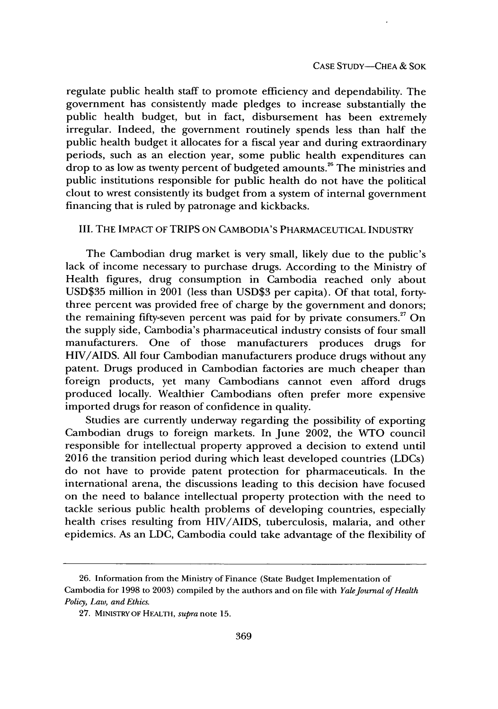regulate public health staff to promote efficiency and dependability. The government has consistently made pledges to increase substantially the public health budget, but in fact, disbursement has been extremely irregular. Indeed, the government routinely spends less than half the public health budget it allocates for a fiscal year and during extraordinary periods, such as an election year, some public health expenditures can drop to as low as twenty percent of budgeted amounts.<sup>26</sup> The ministries and public institutions responsible for public health do not have the political clout to wrest consistently its budget from a system of internal government financing that is ruled by patronage and kickbacks.

## III. THE IMPACT OF TRIPS ON CAMBODIA'S PHARMACEUTICAL INDUSTRY

The Cambodian drug market is very small, likely due to the public's lack of income necessary to purchase drugs. According to the Ministry of Health figures, drug consumption in Cambodia reached only about USD\$35 million in 2001 (less than USD\$3 per capita). Of that total, fortythree percent was provided free of charge by the government and donors; the remaining fifty-seven percent was paid for by private consumers.<sup>27</sup> On the supply side, Cambodia's pharmaceutical industry consists of four small manufacturers. One of those manufacturers produces drugs for HIV/AIDS. All four Cambodian manufacturers produce drugs without any patent. Drugs produced in Cambodian factories are much cheaper than foreign products, yet many Cambodians cannot even afford drugs produced locally. Wealthier Cambodians often prefer more expensive imported drugs for reason of confidence in quality.

Studies are currently underway regarding the possibility of exporting Cambodian drugs to foreign markets. In June 2002, the WTO council responsible for intellectual property approved a decision to extend until 2016 the transition period during which least developed countries (LDCs) do not have to provide patent protection for pharmaceuticals. In the international arena, the discussions leading to this decision have focused on the need to balance intellectual property protection with the need to tackle serious public health problems of developing countries, especially health crises resulting from HIV/AIDS, tuberculosis, malaria, and other epidemics. As an LDC, Cambodia could take advantage of the flexibility of

<sup>26.</sup> Information from the Ministry of Finance (State Budget Implementation of Cambodia for 1998 to 2003) compiled by the authors and on file with *Yale Journal of Health Policy, Law, and Ethics.*

<sup>27.</sup> MINISTRY OF HFALTH, *supra* note 15.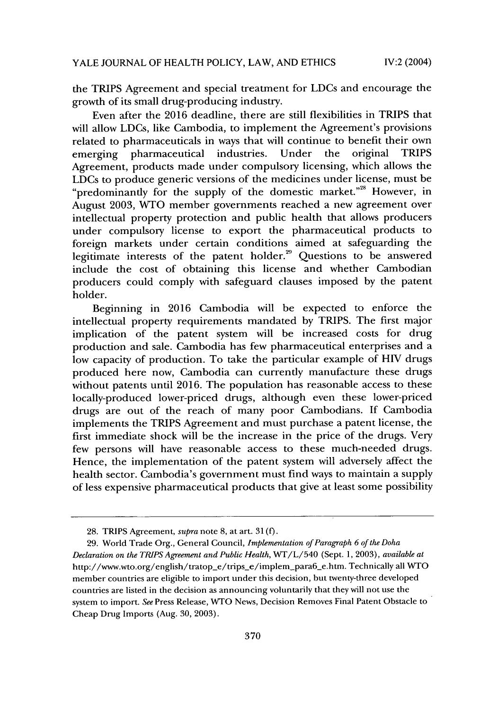the TRIPS Agreement and special treatment for LDCs and encourage the growth of its small drug-producing industry.

Even after the 2016 deadline, there are still flexibilities in TRIPS that will allow LDCs, like Cambodia, to implement the Agreement's provisions related to pharmaceuticals in ways that will continue to benefit their own emerging pharmaceutical industries. Under the original TRIPS Agreement, products made under compulsory licensing, which allows the LDCs to produce generic versions of the medicines under license, must be "predominantly for the supply of the domestic market."<sup>28</sup> However, in August 2003, WTO member governments reached a new agreement over intellectual property protection and public health that allows producers under compulsory license to export the pharmaceutical products to foreign markets under certain conditions aimed at safeguarding the legitimate interests of the patent holder.<sup>29</sup> Questions to be answered include the cost of obtaining this license and whether Cambodian producers could comply with safeguard clauses imposed by the patent holder.

Beginning in 2016 Cambodia will be expected to enforce the intellectual property requirements mandated by TRIPS. The first major implication of the patent system will be increased costs for drug production and sale. Cambodia has few pharmaceutical enterprises and a low capacity of production. To take the particular example of HIV drugs produced here now, Cambodia can currently manufacture these drugs without patents until 2016. The population has reasonable access to these locally-produced lower-priced drugs, although even these lower-priced drugs are out of the reach of many poor Cambodians. If Cambodia implements the TRIPS Agreement and must purchase a patent license, the first immediate shock will be the increase in the price of the drugs. Very few persons will have reasonable access to these much-needed drugs. Hence, the implementation of the patent system will adversely affect the health sector. Cambodia's government must find ways to maintain a supply of less expensive pharmaceutical products that give at least some possibility

<sup>28.</sup> TRIPS Agreement, *supra* note 8, at art. 31 (f).

<sup>29.</sup> World Trade Org., General Council, *Implementation of Paragraph 6 of the Doha Declaration on* the *TRIPS Agreement and Public Health,* WT/L/540 (Sept. 1, 2003), *available at* http://www.wto.org/english/tratop\_e/trips\_e/implem\_para6\_e.htm. Technically all WTO member countries are eligible to import under this decision, but twenty-three developed countries are listed in the decision as announcing voluntarily that they will not use the system to import. *See* Press Release, WTO News, Decision Removes Final Patent Obstacle to Cheap Drug Imports (Aug. 30, 2003).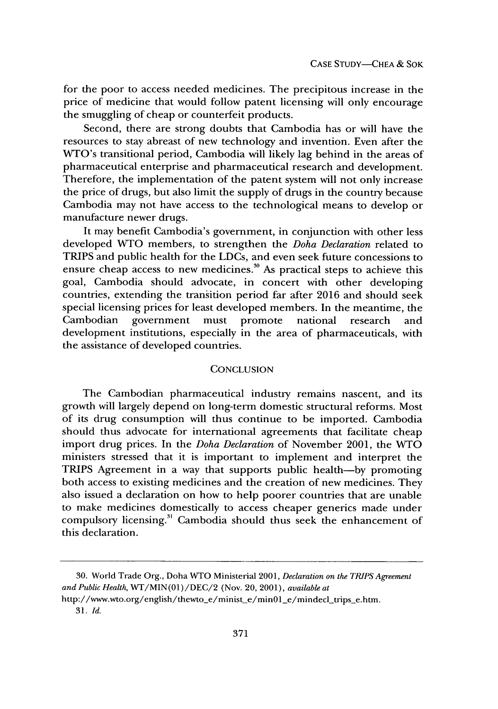for the poor to access needed medicines. The precipitous increase in the price of medicine that would follow patent licensing will only encourage the smuggling of cheap or counterfeit products.

Second, there are strong doubts that Cambodia has or will have the resources to stay abreast of new technology and invention. Even after the WTO's transitional period, Cambodia will likely lag behind in the areas of pharmaceutical enterprise and pharmaceutical research and development. Therefore, the implementation of the patent system will not only increase the price of drugs, but also limit the supply of drugs in the country because Cambodia may not have access to the technological means to develop or manufacture newer drugs.

It may benefit Cambodia's government, in conjunction with other less developed WNTO members, to strengthen the *Doha Declaration* related to TRIPS and public health for the LDCs, and even seek future concessions to ensure cheap access to new medicines.<sup>30</sup> As practical steps to achieve this goal, Cambodia should advocate, in concert with other developing countries, extending the transition period far after 2016 and should seek special licensing prices for least developed members. In the meantime, the Cambodian government must promote national research and development institutions, especially in the area of pharmaceuticals, with the assistance of developed countries.

## **CONCLUSION**

The Cambodian pharmaceutical industry remains nascent, and its growth will largely depend on long-term domestic structural reforms. Most of its drug consumption will thus continue to be imported. Cambodia should thus advocate for international agreements that facilitate cheap import drug prices. In the *Doha Declaration* of November 2001, the WTO ministers stressed that it is important to implement and interpret the TRIPS Agreement in a way that supports public health-by promoting both access to existing medicines and the creation of new medicines. They also issued a declaration on how to help poorer countries that are unable to make medicines domestically to access cheaper generics made under compulsory licensing.<sup>31</sup> Cambodia should thus seek the enhancement of this declaration.

<sup>30.</sup> World Trade Org., Doha WTO Ministerial 2001, *Declaration on the TRIPS Agreement and Public Health,* WT/MIN (01) /DEC/2 (Nov. 20, 2001), *available at*

http://www.wto.org/english/thewto-e/minist-e/min0l-e/mindecl-trips-e.htm.

<sup>31.</sup> *Id.*